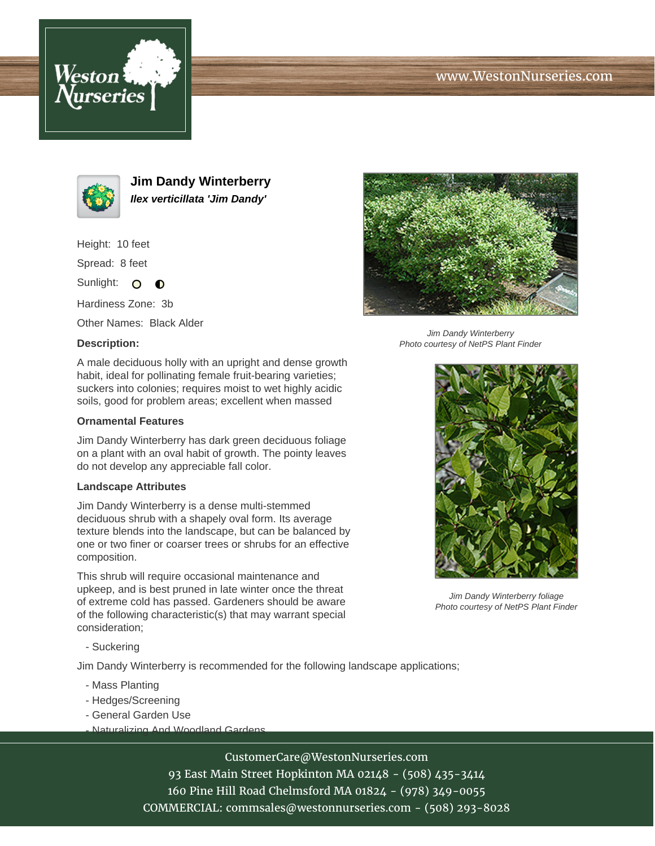# www.WestonNurseries.com





**Jim Dandy Winterberry Ilex verticillata 'Jim Dandy'**

Height: 10 feet

Spread: 8 feet

Sunlight: O **O** 

Hardiness Zone: 3b

Other Names: Black Alder

#### **Description:**



Jim Dandy Winterberry Photo courtesy of NetPS Plant Finder

A male deciduous holly with an upright and dense growth habit, ideal for pollinating female fruit-bearing varieties; suckers into colonies; requires moist to wet highly acidic soils, good for problem areas; excellent when massed

### **Ornamental Features**

Jim Dandy Winterberry has dark green deciduous foliage on a plant with an oval habit of growth. The pointy leaves do not develop any appreciable fall color.

### **Landscape Attributes**

Jim Dandy Winterberry is a dense multi-stemmed deciduous shrub with a shapely oval form. Its average texture blends into the landscape, but can be balanced by one or two finer or coarser trees or shrubs for an effective composition.

This shrub will require occasional maintenance and upkeep, and is best pruned in late winter once the threat of extreme cold has passed. Gardeners should be aware of the following characteristic(s) that may warrant special consideration;

- Suckering

Jim Dandy Winterberry is recommended for the following landscape applications;

- Mass Planting
- Hedges/Screening
- General Garden Use
- Naturalizing And Woodland Gardens

CustomerCare@WestonNurseries.com 93 East Main Street Hopkinton MA 02148 - (508) 435-3414 160 Pine Hill Road Chelmsford MA 01824 - (978) 349-0055

COMMERCIAL: commsales@westonnurseries.com - (508) 293-8028



Jim Dandy Winterberry foliage Photo courtesy of NetPS Plant Finder